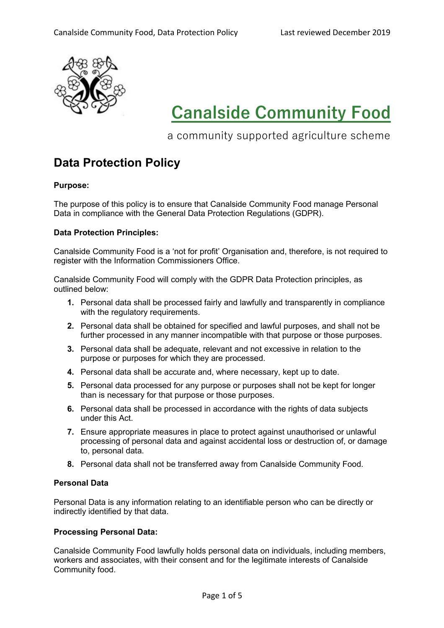

# **Canalside Community Food**

a community supported agriculture scheme

# **Data Protection Policy**

# **Purpose:**

The purpose of this policy is to ensure that Canalside Community Food manage Personal Data in compliance with the General Data Protection Regulations (GDPR).

# **Data Protection Principles:**

Canalside Community Food is a 'not for profit' Organisation and, therefore, is not required to register with the Information Commissioners Office.

Canalside Community Food will comply with the GDPR Data Protection principles, as outlined below:

- **1.** Personal data shall be processed fairly and lawfully and transparently in compliance with the regulatory requirements.
- **2.** Personal data shall be obtained for specified and lawful purposes, and shall not be further processed in any manner incompatible with that purpose or those purposes.
- **3.** Personal data shall be adequate, relevant and not excessive in relation to the purpose or purposes for which they are processed.
- **4.** Personal data shall be accurate and, where necessary, kept up to date.
- **5.** Personal data processed for any purpose or purposes shall not be kept for longer than is necessary for that purpose or those purposes.
- **6.** Personal data shall be processed in accordance with the rights of data subjects under this Act.
- **7.** Ensure appropriate measures in place to protect against unauthorised or unlawful processing of personal data and against accidental loss or destruction of, or damage to, personal data.
- **8.** Personal data shall not be transferred away from Canalside Community Food.

# **Personal Data**

Personal Data is any information relating to an identifiable person who can be directly or indirectly identified by that data.

# **Processing Personal Data:**

Canalside Community Food lawfully holds personal data on individuals, including members, workers and associates, with their consent and for the legitimate interests of Canalside Community food.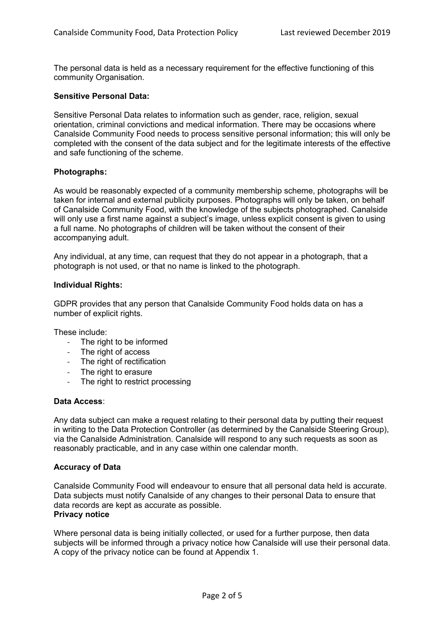The personal data is held as a necessary requirement for the effective functioning of this community Organisation.

#### **Sensitive Personal Data:**

Sensitive Personal Data relates to information such as gender, race, religion, sexual orientation, criminal convictions and medical information. There may be occasions where Canalside Community Food needs to process sensitive personal information; this will only be completed with the consent of the data subject and for the legitimate interests of the effective and safe functioning of the scheme.

# **Photographs:**

As would be reasonably expected of a community membership scheme, photographs will be taken for internal and external publicity purposes. Photographs will only be taken, on behalf of Canalside Community Food, with the knowledge of the subjects photographed. Canalside will only use a first name against a subject's image, unless explicit consent is given to using a full name. No photographs of children will be taken without the consent of their accompanying adult.

Any individual, at any time, can request that they do not appear in a photograph, that a photograph is not used, or that no name is linked to the photograph.

#### **Individual Rights:**

GDPR provides that any person that Canalside Community Food holds data on has a number of explicit rights.

These include:

- The right to be informed
- The right of access
- The right of rectification
- The right to erasure
- The right to restrict processing

#### **Data Access**:

Any data subject can make a request relating to their personal data by putting their request in writing to the Data Protection Controller (as determined by the Canalside Steering Group), via the Canalside Administration. Canalside will respond to any such requests as soon as reasonably practicable, and in any case within one calendar month.

#### **Accuracy of Data**

Canalside Community Food will endeavour to ensure that all personal data held is accurate. Data subjects must notify Canalside of any changes to their personal Data to ensure that data records are kept as accurate as possible. **Privacy notice**

Where personal data is being initially collected, or used for a further purpose, then data subjects will be informed through a privacy notice how Canalside will use their personal data. A copy of the privacy notice can be found at Appendix 1.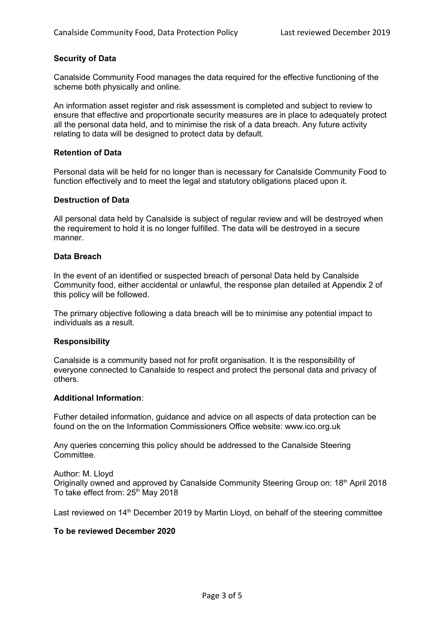#### **Security of Data**

Canalside Community Food manages the data required for the effective functioning of the scheme both physically and online.

An information asset register and risk assessment is completed and subject to review to ensure that effective and proportionate security measures are in place to adequately protect all the personal data held, and to minimise the risk of a data breach. Any future activity relating to data will be designed to protect data by default.

#### **Retention of Data**

Personal data will be held for no longer than is necessary for Canalside Community Food to function effectively and to meet the legal and statutory obligations placed upon it.

#### **Destruction of Data**

All personal data held by Canalside is subject of regular review and will be destroyed when the requirement to hold it is no longer fulfilled. The data will be destroyed in a secure manner.

#### **Data Breach**

In the event of an identified or suspected breach of personal Data held by Canalside Community food, either accidental or unlawful, the response plan detailed at Appendix 2 of this policy will be followed.

The primary objective following a data breach will be to minimise any potential impact to individuals as a result.

#### **Responsibility**

Canalside is a community based not for profit organisation. It is the responsibility of everyone connected to Canalside to respect and protect the personal data and privacy of others.

#### **Additional Information**:

Futher detailed information, guidance and advice on all aspects of data protection can be found on the on the Information Commissioners Office website: www.ico.org.uk

Any queries concerning this policy should be addressed to the Canalside Steering **Committee.** 

Author: M. Lloyd Originally owned and approved by Canalside Community Steering Group on: 18<sup>th</sup> April 2018 To take effect from: 25<sup>th</sup> May 2018

Last reviewed on  $14<sup>th</sup>$  December 2019 by Martin Lloyd, on behalf of the steering committee

#### **To be reviewed December 2020**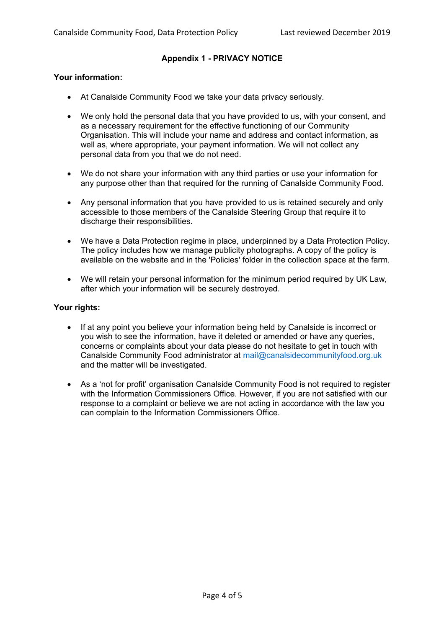# **Appendix 1 - PRIVACY NOTICE**

# **Your information:**

- At Canalside Community Food we take your data privacy seriously.
- We only hold the personal data that you have provided to us, with your consent, and as a necessary requirement for the effective functioning of our Community Organisation. This will include your name and address and contact information, as well as, where appropriate, your payment information. We will not collect any personal data from you that we do not need.
- We do not share your information with any third parties or use your information for any purpose other than that required for the running of Canalside Community Food.
- Any personal information that you have provided to us is retained securely and only accessible to those members of the Canalside Steering Group that require it to discharge their responsibilities.
- We have a Data Protection regime in place, underpinned by a Data Protection Policy. The policy includes how we manage publicity photographs. A copy of the policy is available on the website and in the 'Policies' folder in the collection space at the farm.
- We will retain your personal information for the minimum period required by UK Law, after which your information will be securely destroyed.

# **Your rights:**

- If at any point you believe your information being held by Canalside is incorrect or you wish to see the information, have it deleted or amended or have any queries, concerns or complaints about your data please do not hesitate to get in touch with Canalside Community Food administrator at [mail@canalsidecommunityfood.org.uk](mailto:mail@canalsidecommunityfood.org.uk) and the matter will be investigated.
- As a 'not for profit' organisation Canalside Community Food is not required to register with the Information Commissioners Office. However, if you are not satisfied with our response to a complaint or believe we are not acting in accordance with the law you can complain to the Information Commissioners Office.